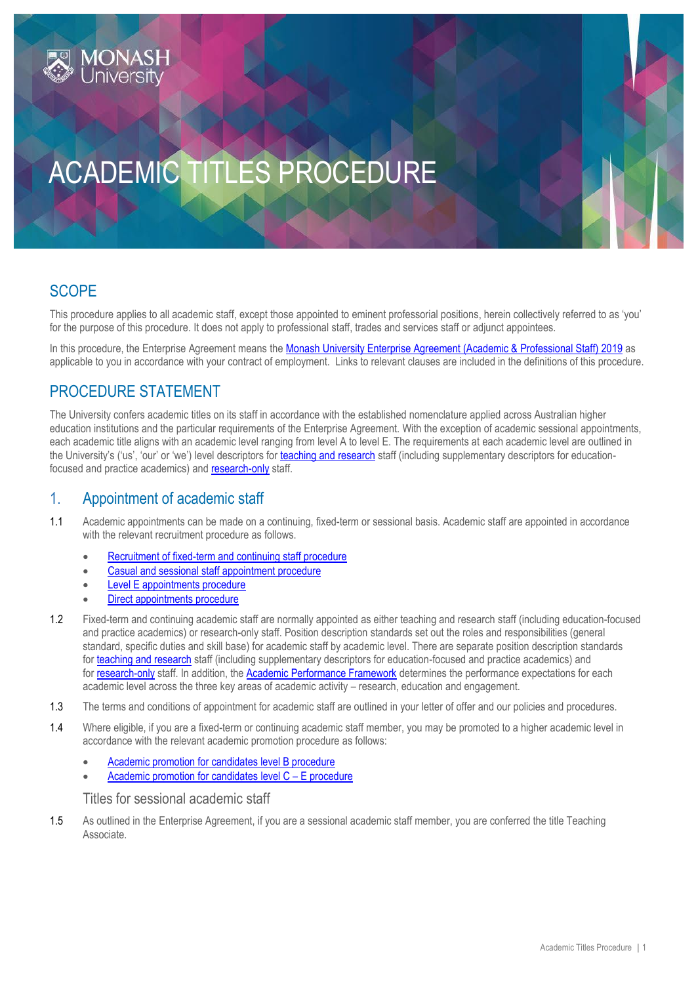

# ACADEMIC TITLES PROCEDURE

# **SCOPE**

This procedure applies to all academic staff, except those appointed to [eminent professorial positions,](http://www.adm.monash.edu.au/workplace-policy/recruitment/eminent-professor-procedure.html) herein collectively referred to as 'you' for the purpose of this procedure. It does not apply to professional staff, trades and services staff or adjunct appointees.

In this procedure, the Enterprise Agreement means the [Monash University Enterprise Agreement \(Academic & Professional Staff\) 2019](https://www.monash.edu/current-enterprise-agreements/academic-professional-2019) as applicable to you in accordance with your contract of employment. Links to relevant clauses are included in the definitions of this procedure.

## PROCEDURE STATEMENT

The University confers academic titles on its staff in accordance with the established nomenclature applied across Australian higher education institutions and the particular requirements of the Enterprise Agreement. With the exception of academic sessional appointments, each academic title aligns with an academic level ranging from level A to level E. The requirements at each academic level are outlined in the University's ('us', 'our' or 'we') level descriptors for [teaching and research](http://www.intranet.monash/hr/tools-and-resources/manager-resources/recruitment-and-appointments/categories/academic/teaching-research) staff (including supplementary descriptors for educationfocused and practice academics) and [research-only](http://www.intranet.monash/hr/tools-and-resources/manager-resources/recruitment-and-appointments/categories/academic/research-only) staff.

## 1. Appointment of academic staff

- 1.1 Academic appointments can be made on a continuing, fixed-term or sessional basis. Academic staff are appointed in accordance with the relevant recruitment procedure as follows.
	- [Recruitment of fixed-term and continuing staff procedure](https://publicpolicydms.monash.edu/Monash/documents/1935716)
	- [Casual and sessional staff](https://publicpolicydms.monash.edu/Monash/documents/1935664) appointment procedure
	- **Level E** appointments procedure
	- [Direct appointments procedure](https://publicpolicydms.monash.edu/Monash/documents/1935673)
- 1.2 Fixed-term and continuing academic staff are normally appointed as either teaching and research staff (including education-focused and practice academics) or research-only staff. Position description standards set out the roles and responsibilities (general standard, specific duties and skill base) for academic staff by academic level. There are separate position description standards for [teaching and research](http://www.intranet.monash/hr/tools-and-resources/manager-resources/recruitment-and-appointments/categories/academic/teaching-research) staff (including supplementary descriptors for education-focused and practice academics) and for [research-only](http://www.intranet.monash/hr/tools-and-resources/manager-resources/recruitment-and-appointments/categories/academic/research-only) staff. In addition, the [Academic Performance Framework](https://www.monash.edu/academic-promotion/tools-and-resources/standards) determines the performance expectations for each academic level across the three key areas of academic activity – research, education and engagement.
- 1.3 The terms and conditions of appointment for academic staff are outlined in your letter of offer and our policies and procedures.
- 1.4 Where eligible, if you are a fixed-term or continuing academic staff member, you may be promoted to a higher academic level in accordance with the relevant academic promotion procedure as follows:
	- [Academic promotion for candidates level B procedure](https://publicpolicydms.monash.edu/Monash/documents/1935656)
	- [Academic promotion for candidates](https://publicpolicydms.monash.edu/Monash/documents/1935663) level C E procedure

Titles for sessional academic staff

1.5 As outlined in the Enterprise Agreement, if you are a sessional academic staff member, you are conferred the title Teaching Associate.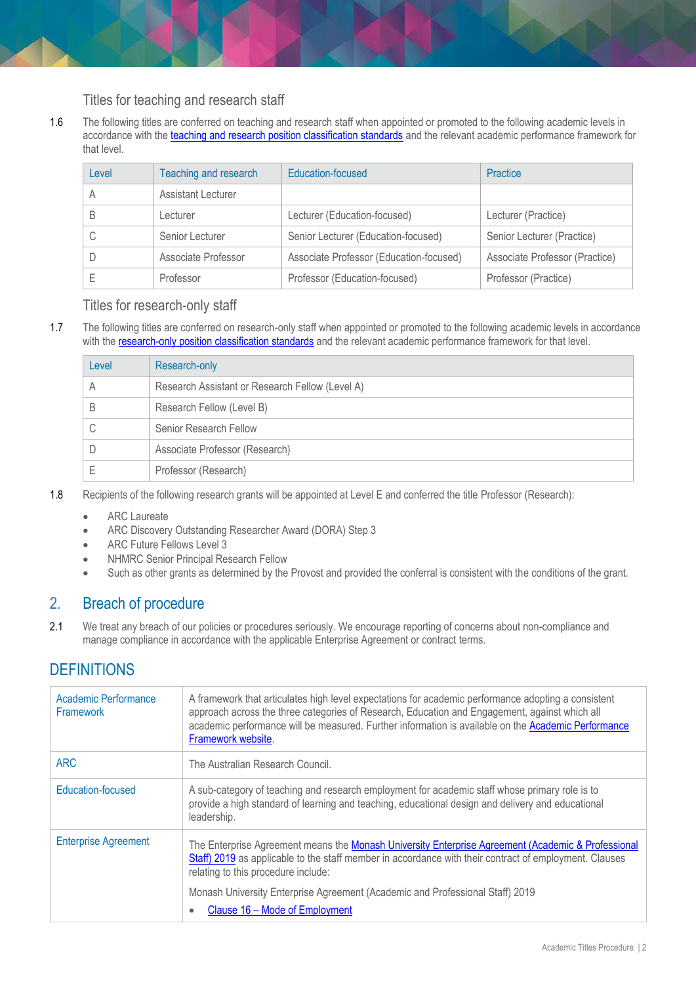#### Titles for teaching and research staff

1.6 The following titles are conferred on teaching and research staff when appointed or promoted to the following academic levels in accordance with the [teaching and research position classification standards](http://www.intranet.monash/hr/tools-and-resources/manager-resources/recruitment-and-appointments/categories/academic/teaching-research) and the relevant academic performance framework for that level.

| Level | Teaching and research     | Education-focused                       | Practice                       |
|-------|---------------------------|-----------------------------------------|--------------------------------|
|       | <b>Assistant Lecturer</b> |                                         |                                |
|       | Lecturer                  | Lecturer (Education-focused)            | Lecturer (Practice)            |
|       | Senior Lecturer           | Senior Lecturer (Education-focused)     | Senior Lecturer (Practice)     |
|       | Associate Professor       | Associate Professor (Education-focused) | Associate Professor (Practice) |
|       | Professor                 | Professor (Education-focused)           | Professor (Practice)           |

#### Titles for research-only staff

1.7 The following titles are conferred on research-only staff when appointed or promoted to the following academic levels in accordance with the [research-only position classification standards](http://www.intranet.monash/hr/tools-and-resources/manager-resources/recruitment-and-appointments/categories/academic/research-only) and the relevant academic performance framework for that level.

| Level | Research-only                                   |
|-------|-------------------------------------------------|
|       | Research Assistant or Research Fellow (Level A) |
|       | Research Fellow (Level B)                       |
|       | Senior Research Fellow                          |
|       | Associate Professor (Research)                  |
|       | Professor (Research)                            |

- 1.8 Recipients of the following research grants will be appointed at Level E and conferred the title Professor (Research):
	- ARC Laureate
	- ARC Discovery Outstanding Researcher Award (DORA) Step 3
	- ARC Future Fellows Level 3
	- NHMRC Senior Principal Research Fellow
	- Such as other grants as determined by the Provost and provided the conferral is consistent with the conditions of the grant.

## 2. Breach of procedure

2.1 We treat any breach of our policies or procedures seriously. We encourage reporting of concerns about non-compliance and manage compliance in accordance with the applicable Enterprise Agreement or contract terms.

## **DEFINITIONS**

| Academic Performance<br>Framework | A framework that articulates high level expectations for academic performance adopting a consistent<br>approach across the three categories of Research, Education and Engagement, against which all<br>academic performance will be measured. Further information is available on the Academic Performance<br>Framework website. |
|-----------------------------------|-----------------------------------------------------------------------------------------------------------------------------------------------------------------------------------------------------------------------------------------------------------------------------------------------------------------------------------|
| <b>ARC</b>                        | The Australian Research Council.                                                                                                                                                                                                                                                                                                  |
| Education-focused                 | A sub-category of teaching and research employment for academic staff whose primary role is to<br>provide a high standard of learning and teaching, educational design and delivery and educational<br>leadership.                                                                                                                |
| <b>Enterprise Agreement</b>       | The Enterprise Agreement means the Monash University Enterprise Agreement (Academic & Professional<br>Staff) 2019 as applicable to the staff member in accordance with their contract of employment. Clauses<br>relating to this procedure include:                                                                               |
|                                   | Monash University Enterprise Agreement (Academic and Professional Staff) 2019<br>Clause 16 - Mode of Employment<br>$\bullet$                                                                                                                                                                                                      |